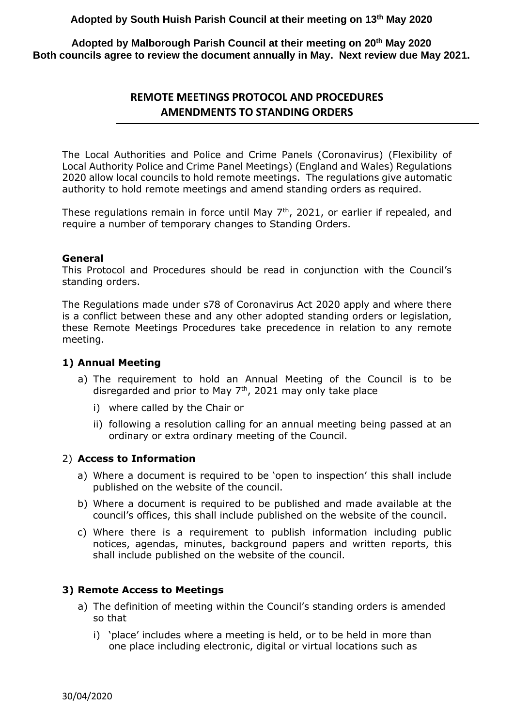**Adopted by South Huish Parish Council at their meeting on 13th May 2020**

**Adopted by Malborough Parish Council at their meeting on 20th May 2020 Both councils agree to review the document annually in May. Next review due May 2021.**

# **REMOTE MEETINGS PROTOCOL AND PROCEDURES AMENDMENTS TO STANDING ORDERS**

The Local Authorities and Police and Crime Panels (Coronavirus) (Flexibility of Local Authority Police and Crime Panel Meetings) (England and Wales) Regulations 2020 allow local councils to hold remote meetings. The regulations give automatic authority to hold remote meetings and amend standing orders as required.

These regulations remain in force until May  $7<sup>th</sup>$ , 2021, or earlier if repealed, and require a number of temporary changes to Standing Orders.

#### **General**

This Protocol and Procedures should be read in conjunction with the Council's standing orders.

The Regulations made under s78 of Coronavirus Act 2020 apply and where there is a conflict between these and any other adopted standing orders or legislation, these Remote Meetings Procedures take precedence in relation to any remote meeting.

#### **1) Annual Meeting**

- a) The requirement to hold an Annual Meeting of the Council is to be disregarded and prior to May  $7<sup>th</sup>$ , 2021 may only take place
	- i) where called by the Chair or
	- ii) following a resolution calling for an annual meeting being passed at an ordinary or extra ordinary meeting of the Council.

#### 2) **Access to Information**

- a) Where a document is required to be 'open to inspection' this shall include published on the website of the council.
- b) Where a document is required to be published and made available at the council's offices, this shall include published on the website of the council.
- c) Where there is a requirement to publish information including public notices, agendas, minutes, background papers and written reports, this shall include published on the website of the council.

#### **3) Remote Access to Meetings**

- a) The definition of meeting within the Council's standing orders is amended so that
	- i) 'place' includes where a meeting is held, or to be held in more than one place including electronic, digital or virtual locations such as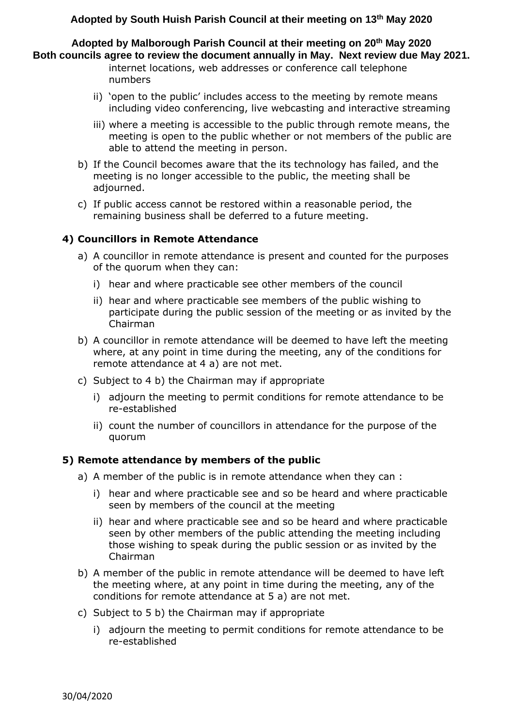### **Adopted by South Huish Parish Council at their meeting on 13th May 2020**

**Adopted by Malborough Parish Council at their meeting on 20th May 2020 Both councils agree to review the document annually in May. Next review due May 2021.**

- internet locations, web addresses or conference call telephone numbers
- ii) 'open to the public' includes access to the meeting by remote means including video conferencing, live webcasting and interactive streaming
- iii) where a meeting is accessible to the public through remote means, the meeting is open to the public whether or not members of the public are able to attend the meeting in person.
- b) If the Council becomes aware that the its technology has failed, and the meeting is no longer accessible to the public, the meeting shall be adjourned.
- c) If public access cannot be restored within a reasonable period, the remaining business shall be deferred to a future meeting.

#### **4) Councillors in Remote Attendance**

- a) A councillor in remote attendance is present and counted for the purposes of the quorum when they can:
	- i) hear and where practicable see other members of the council
	- ii) hear and where practicable see members of the public wishing to participate during the public session of the meeting or as invited by the Chairman
- b) A councillor in remote attendance will be deemed to have left the meeting where, at any point in time during the meeting, any of the conditions for remote attendance at 4 a) are not met.
- c) Subject to 4 b) the Chairman may if appropriate
	- i) adjourn the meeting to permit conditions for remote attendance to be re-established
	- ii) count the number of councillors in attendance for the purpose of the quorum

#### **5) Remote attendance by members of the public**

- a) A member of the public is in remote attendance when they can :
	- i) hear and where practicable see and so be heard and where practicable seen by members of the council at the meeting
	- ii) hear and where practicable see and so be heard and where practicable seen by other members of the public attending the meeting including those wishing to speak during the public session or as invited by the Chairman
- b) A member of the public in remote attendance will be deemed to have left the meeting where, at any point in time during the meeting, any of the conditions for remote attendance at 5 a) are not met.
- c) Subject to 5 b) the Chairman may if appropriate
	- i) adjourn the meeting to permit conditions for remote attendance to be re-established